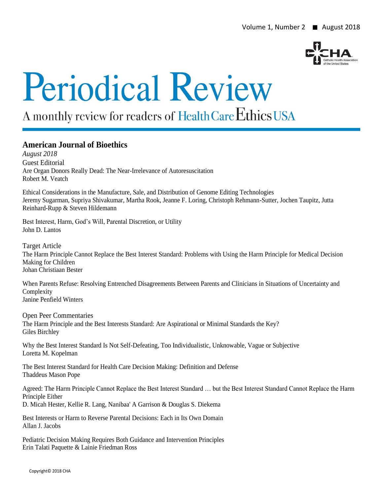

# **Periodical Review**

# A monthly review for readers of Health Care Ethics USA

# **American Journal of Bioethics**

*August 2018* Guest Editorial Are Organ Donors Really Dead: The Near-Irrelevance of Autoresuscitation Robert M. Veatch

Ethical Considerations in the Manufacture, Sale, and Distribution of Genome Editing Technologies Jeremy Sugarman, Supriya Shivakumar, Martha Rook, Jeanne F. Loring, Christoph Rehmann-Sutter, Jochen Taupitz, Jutta Reinhard-Rupp & Steven Hildemann

Best Interest, Harm, God's Will, Parental Discretion, or Utility John D. Lantos

Target Article The Harm Principle Cannot Replace the Best Interest Standard: Problems with Using the Harm Principle for Medical Decision Making for Children Johan Christiaan Bester

When Parents Refuse: Resolving Entrenched Disagreements Between Parents and Clinicians in Situations of Uncertainty and Complexity Janine Penfield Winters

Open Peer Commentaries The Harm Principle and the Best Interests Standard: Are Aspirational or Minimal Standards the Key? Giles Birchley

Why the Best Interest Standard Is Not Self-Defeating, Too Individualistic, Unknowable, Vague or Subjective Loretta M. Kopelman

The Best Interest Standard for Health Care Decision Making: Definition and Defense Thaddeus Mason Pope

Agreed: The Harm Principle Cannot Replace the Best Interest Standard … but the Best Interest Standard Cannot Replace the Harm Principle Either D. Micah Hester, Kellie R. Lang, Nanibaa' A Garrison & Douglas S. Diekema

Best Interests or Harm to Reverse Parental Decisions: Each in Its Own Domain Allan J. Jacobs

Pediatric Decision Making Requires Both Guidance and Intervention Principles Erin Talati Paquette & Lainie Friedman Ross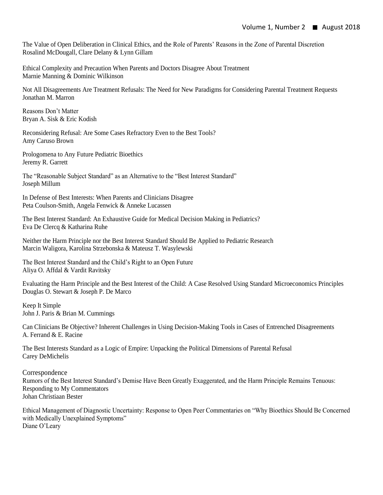The Value of Open Deliberation in Clinical Ethics, and the Role of Parents' Reasons in the Zone of Parental Discretion Rosalind McDougall, Clare Delany & Lynn Gillam

Ethical Complexity and Precaution When Parents and Doctors Disagree About Treatment Marnie Manning & Dominic Wilkinson

Not All Disagreements Are Treatment Refusals: The Need for New Paradigms for Considering Parental Treatment Requests Jonathan M. Marron

Reasons Don't Matter Bryan A. Sisk & Eric Kodish

Reconsidering Refusal: Are Some Cases Refractory Even to the Best Tools? Amy Caruso Brown

Prologomena to Any Future Pediatric Bioethics Jeremy R. Garrett

The "Reasonable Subject Standard" as an Alternative to the "Best Interest Standard" Joseph Millum

In Defense of Best Interests: When Parents and Clinicians Disagree Peta Coulson-Smith, Angela Fenwick & Anneke Lucassen

The Best Interest Standard: An Exhaustive Guide for Medical Decision Making in Pediatrics? Eva De Clercq & Katharina Ruhe

Neither the Harm Principle nor the Best Interest Standard Should Be Applied to Pediatric Research Marcin Waligora, Karolina Strzebonska & Mateusz T. Wasylewski

The Best Interest Standard and the Child's Right to an Open Future Aliya O. Affdal & Vardit Ravitsky

Evaluating the Harm Principle and the Best Interest of the Child: A Case Resolved Using Standard Microeconomics Principles Douglas O. Stewart & Joseph P. De Marco

Keep It Simple John J. Paris & Brian M. Cummings

Can Clinicians Be Objective? Inherent Challenges in Using Decision-Making Tools in Cases of Entrenched Disagreements A. Ferrand & E. Racine

The Best Interests Standard as a Logic of Empire: Unpacking the Political Dimensions of Parental Refusal Carey DeMichelis

Correspondence Rumors of the Best Interest Standard's Demise Have Been Greatly Exaggerated, and the Harm Principle Remains Tenuous: Responding to My Commentators Johan Christiaan Bester

Ethical Management of Diagnostic Uncertainty: Response to Open Peer Commentaries on "Why Bioethics Should Be Concerned with Medically Unexplained Symptoms" Diane O'Leary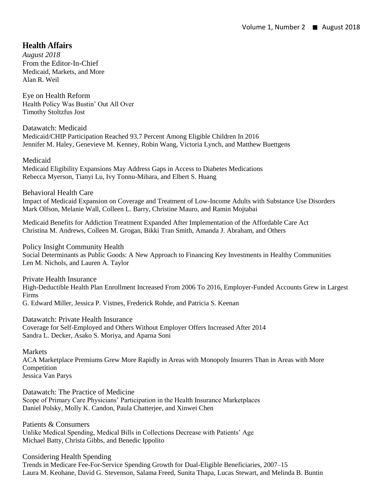# **Health Affairs**

*August 2018* From the Editor-In-Chief Medicaid, Markets, and More Alan R. Weil

Eye on Health Reform Health Policy Was Bustin' Out All Over Timothy Stoltzfus Jost

Datawatch: Medicaid Medicaid/CHIP Participation Reached 93.7 Percent Among Eligible Children In 2016 Jennifer M. Haley, Genevieve M. Kenney, Robin Wang, Victoria Lynch, and Matthew Buettgens

Medicaid Medicaid Eligibility Expansions May Address Gaps in Access to Diabetes Medications Rebecca Myerson, Tianyi Lu, Ivy Tonnu-Mihara, and Elbert S. Huang

Behavioral Health Care

Impact of Medicaid Expansion on Coverage and Treatment of Low-Income Adults with Substance Use Disorders Mark Olfson, Melanie Wall, Colleen L. Barry, Christine Mauro, and Ramin Mojtabai

Medicaid Benefits for Addiction Treatment Expanded After Implementation of the Affordable Care Act Christina M. Andrews, Colleen M. Grogan, Bikki Tran Smith, Amanda J. Abraham, and Others

Policy Insight Community Health Social Determinants as Public Goods: A New Approach to Financing Key Investments in Healthy Communities Len M. Nichols, and Lauren A. Taylor

Private Health Insurance High-Deductible Health Plan Enrollment Increased From 2006 To 2016, Employer-Funded Accounts Grew in Largest Firms G. Edward Miller, Jessica P. Vistnes, Frederick Rohde, and Patricia S. Keenan

Datawatch: Private Health Insurance Coverage for Self-Employed and Others Without Employer Offers Increased After 2014 Sandra L. Decker, Asako S. Moriya, and Aparna Soni

Markets

ACA Marketplace Premiums Grew More Rapidly in Areas with Monopoly Insurers Than in Areas with More Competition Jessica Van Parys

Datawatch: The Practice of Medicine Scope of Primary Care Physicians' Participation in the Health Insurance Marketplaces Daniel Polsky, Molly K. Candon, Paula Chatterjee, and Xinwei Chen

Patients & Consumers Unlike Medical Spending, Medical Bills in Collections Decrease with Patients' Age Michael Batty, Christa Gibbs, and Benedic Ippolito

Considering Health Spending

Trends in Medicare Fee-For-Service Spending Growth for Dual-Eligible Beneficiaries, 2007–15 Laura M. Keohane, David G. Stevenson, Salama Freed, Sunita Thapa, Lucas Stewart, and Melinda B. Buntin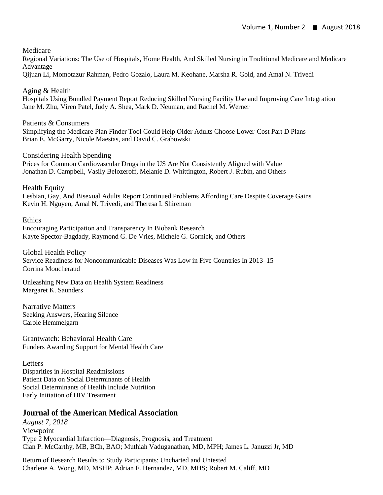#### Medicare

Regional Variations: The Use of Hospitals, Home Health, And Skilled Nursing in Traditional Medicare and Medicare Advantage

Qijuan Li, Momotazur Rahman, Pedro Gozalo, Laura M. Keohane, Marsha R. Gold, and Amal N. Trivedi

#### Aging & Health

Hospitals Using Bundled Payment Report Reducing Skilled Nursing Facility Use and Improving Care Integration Jane M. Zhu, Viren Patel, Judy A. Shea, Mark D. Neuman, and Rachel M. Werner

#### Patients & Consumers

Simplifying the Medicare Plan Finder Tool Could Help Older Adults Choose Lower-Cost Part D Plans Brian E. McGarry, Nicole Maestas, and David C. Grabowski

#### Considering Health Spending

Prices for Common Cardiovascular Drugs in the US Are Not Consistently Aligned with Value Jonathan D. Campbell, Vasily Belozeroff, Melanie D. Whittington, Robert J. Rubin, and Others

Health Equity

Lesbian, Gay, And Bisexual Adults Report Continued Problems Affording Care Despite Coverage Gains Kevin H. Nguyen, Amal N. Trivedi, and Theresa I. Shireman

**Ethics** Encouraging Participation and Transparency In Biobank Research Kayte Spector-Bagdady, Raymond G. De Vries, Michele G. Gornick, and Others

Global Health Policy Service Readiness for Noncommunicable Diseases Was Low in Five Countries In 2013–15 Corrina Moucheraud

Unleashing New Data on Health System Readiness Margaret K. Saunders

Narrative Matters Seeking Answers, Hearing Silence Carole Hemmelgarn

Grantwatch: Behavioral Health Care Funders Awarding Support for Mental Health Care

#### **Letters**

Disparities in Hospital Readmissions Patient Data on Social Determinants of Health Social Determinants of Health Include Nutrition Early Initiation of HIV Treatment

# **Journal of the American Medical Association**

*August 7, 2018* Viewpoint Type 2 Myocardial Infarction—Diagnosis, Prognosis, and Treatment Cian P. McCarthy, MB, BCh, BAO; Muthiah Vaduganathan, MD, MPH; James L. Januzzi Jr, MD

Return of Research Results to Study Participants: Uncharted and Untested Charlene A. Wong, MD, MSHP; Adrian F. Hernandez, MD, MHS; Robert M. Califf, MD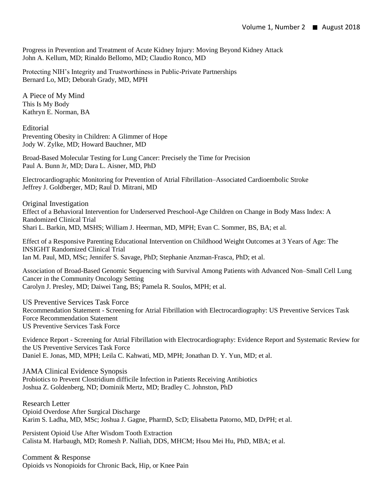Progress in Prevention and Treatment of Acute Kidney Injury: Moving Beyond Kidney Attack John A. Kellum, MD; Rinaldo Bellomo, MD; Claudio Ronco, MD

Protecting NIH's Integrity and Trustworthiness in Public-Private Partnerships Bernard Lo, MD; Deborah Grady, MD, MPH

A Piece of My Mind This Is My Body Kathryn E. Norman, BA

Editorial Preventing Obesity in Children: A Glimmer of Hope Jody W. Zylke, MD; Howard Bauchner, MD

Broad-Based Molecular Testing for Lung Cancer: Precisely the Time for Precision Paul A. Bunn Jr, MD; Dara L. Aisner, MD, PhD

Electrocardiographic Monitoring for Prevention of Atrial Fibrillation–Associated Cardioembolic Stroke Jeffrey J. Goldberger, MD; Raul D. Mitrani, MD

Original Investigation Effect of a Behavioral Intervention for Underserved Preschool-Age Children on Change in Body Mass Index: A Randomized Clinical Trial Shari L. Barkin, MD, MSHS; William J. Heerman, MD, MPH; Evan C. Sommer, BS, BA; et al.

Effect of a Responsive Parenting Educational Intervention on Childhood Weight Outcomes at 3 Years of Age: The INSIGHT Randomized Clinical Trial Ian M. Paul, MD, MSc; Jennifer S. Savage, PhD; Stephanie Anzman-Frasca, PhD; et al.

Association of Broad-Based Genomic Sequencing with Survival Among Patients with Advanced Non–Small Cell Lung Cancer in the Community Oncology Setting Carolyn J. Presley, MD; Daiwei Tang, BS; Pamela R. Soulos, MPH; et al.

US Preventive Services Task Force Recommendation Statement - Screening for Atrial Fibrillation with Electrocardiography: US Preventive Services Task Force Recommendation Statement US Preventive Services Task Force

Evidence Report - Screening for Atrial Fibrillation with Electrocardiography: Evidence Report and Systematic Review for the US Preventive Services Task Force Daniel E. Jonas, MD, MPH; Leila C. Kahwati, MD, MPH; Jonathan D. Y. Yun, MD; et al.

JAMA Clinical Evidence Synopsis

Probiotics to Prevent Clostridium difficile Infection in Patients Receiving Antibiotics Joshua Z. Goldenberg, ND; Dominik Mertz, MD; Bradley C. Johnston, PhD

Research Letter Opioid Overdose After Surgical Discharge Karim S. Ladha, MD, MSc; Joshua J. Gagne, PharmD, ScD; Elisabetta Patorno, MD, DrPH; et al.

Persistent Opioid Use After Wisdom Tooth Extraction Calista M. Harbaugh, MD; Romesh P. Nalliah, DDS, MHCM; Hsou Mei Hu, PhD, MBA; et al.

Comment & Response Opioids vs Nonopioids for Chronic Back, Hip, or Knee Pain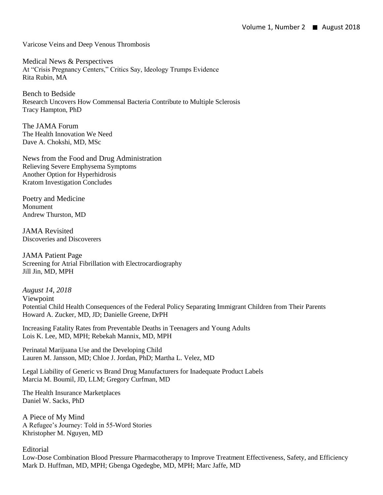Varicose Veins and Deep Venous Thrombosis

Medical News & Perspectives At "Crisis Pregnancy Centers," Critics Say, Ideology Trumps Evidence Rita Rubin, MA

Bench to Bedside Research Uncovers How Commensal Bacteria Contribute to Multiple Sclerosis Tracy Hampton, PhD

The JAMA Forum The Health Innovation We Need Dave A. Chokshi, MD, MSc

News from the Food and Drug Administration Relieving Severe Emphysema Symptoms Another Option for Hyperhidrosis Kratom Investigation Concludes

Poetry and Medicine Monument Andrew Thurston, MD

JAMA Revisited Discoveries and Discoverers

JAMA Patient Page Screening for Atrial Fibrillation with Electrocardiography Jill Jin, MD, MPH

*August 14, 2018* Viewpoint Potential Child Health Consequences of the Federal Policy Separating Immigrant Children from Their Parents Howard A. Zucker, MD, JD; Danielle Greene, DrPH

Increasing Fatality Rates from Preventable Deaths in Teenagers and Young Adults Lois K. Lee, MD, MPH; Rebekah Mannix, MD, MPH

Perinatal Marijuana Use and the Developing Child Lauren M. Jansson, MD; Chloe J. Jordan, PhD; Martha L. Velez, MD

Legal Liability of Generic vs Brand Drug Manufacturers for Inadequate Product Labels Marcia M. Boumil, JD, LLM; Gregory Curfman, MD

The Health Insurance Marketplaces Daniel W. Sacks, PhD

A Piece of My Mind A Refugee's Journey: Told in 55-Word Stories Khristopher M. Nguyen, MD

Editorial Low-Dose Combination Blood Pressure Pharmacotherapy to Improve Treatment Effectiveness, Safety, and Efficiency Mark D. Huffman, MD, MPH; Gbenga Ogedegbe, MD, MPH; Marc Jaffe, MD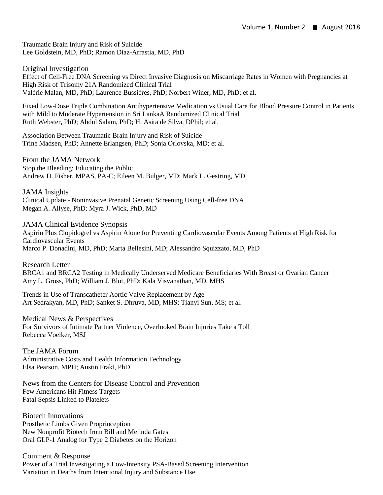Traumatic Brain Injury and Risk of Suicide Lee Goldstein, MD, PhD; Ramon Diaz-Arrastia, MD, PhD

Original Investigation Effect of Cell-Free DNA Screening vs Direct Invasive Diagnosis on Miscarriage Rates in Women with Pregnancies at High Risk of Trisomy 21A Randomized Clinical Trial Valérie Malan, MD, PhD; Laurence Bussières, PhD; Norbert Winer, MD, PhD; et al.

Fixed Low-Dose Triple Combination Antihypertensive Medication vs Usual Care for Blood Pressure Control in Patients with Mild to Moderate Hypertension in Sri LankaA Randomized Clinical Trial Ruth Webster, PhD; Abdul Salam, PhD; H. Asita de Silva, DPhil; et al.

Association Between Traumatic Brain Injury and Risk of Suicide Trine Madsen, PhD; Annette Erlangsen, PhD; Sonja Orlovska, MD; et al.

From the JAMA Network Stop the Bleeding: Educating the Public Andrew D. Fisher, MPAS, PA-C; Eileen M. Bulger, MD; Mark L. Gestring, MD

JAMA Insights Clinical Update - Noninvasive Prenatal Genetic Screening Using Cell-free DNA Megan A. Allyse, PhD; Myra J. Wick, PhD, MD

JAMA Clinical Evidence Synopsis Aspirin Plus Clopidogrel vs Aspirin Alone for Preventing Cardiovascular Events Among Patients at High Risk for Cardiovascular Events Marco P. Donadini, MD, PhD; Marta Bellesini, MD; Alessandro Squizzato, MD, PhD

Research Letter BRCA1 and BRCA2 Testing in Medically Underserved Medicare Beneficiaries With Breast or Ovarian Cancer Amy L. Gross, PhD; William J. Blot, PhD; Kala Visvanathan, MD, MHS

Trends in Use of Transcatheter Aortic Valve Replacement by Age Art Sedrakyan, MD, PhD; Sanket S. Dhruva, MD, MHS; Tianyi Sun, MS; et al.

Medical News & Perspectives For Survivors of Intimate Partner Violence, Overlooked Brain Injuries Take a Toll Rebecca Voelker, MSJ

The JAMA Forum Administrative Costs and Health Information Technology Elsa Pearson, MPH; Austin Frakt, PhD

News from the Centers for Disease Control and Prevention Few Americans Hit Fitness Targets Fatal Sepsis Linked to Platelets

Biotech Innovations Prosthetic Limbs Given Proprioception New Nonprofit Biotech from Bill and Melinda Gates Oral GLP-1 Analog for Type 2 Diabetes on the Horizon

Comment & Response Power of a Trial Investigating a Low-Intensity PSA-Based Screening Intervention Variation in Deaths from Intentional Injury and Substance Use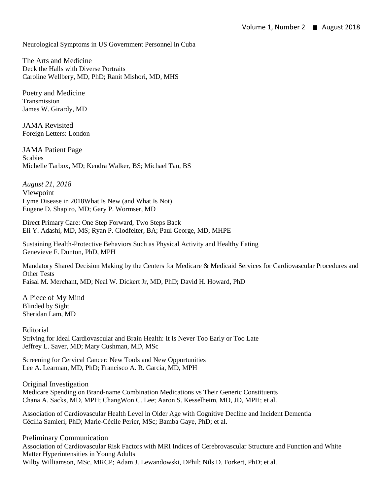Neurological Symptoms in US Government Personnel in Cuba

The Arts and Medicine Deck the Halls with Diverse Portraits Caroline Wellbery, MD, PhD; Ranit Mishori, MD, MHS

Poetry and Medicine Transmission James W. Girardy, MD

JAMA Revisited Foreign Letters: London

JAMA Patient Page Scabies Michelle Tarbox, MD; Kendra Walker, BS; Michael Tan, BS

*August 21, 2018* Viewpoint Lyme Disease in 2018What Is New (and What Is Not) Eugene D. Shapiro, MD; Gary P. Wormser, MD

Direct Primary Care: One Step Forward, Two Steps Back Eli Y. Adashi, MD, MS; Ryan P. Clodfelter, BA; Paul George, MD, MHPE

Sustaining Health-Protective Behaviors Such as Physical Activity and Healthy Eating Genevieve F. Dunton, PhD, MPH

Mandatory Shared Decision Making by the Centers for Medicare & Medicaid Services for Cardiovascular Procedures and Other Tests Faisal M. Merchant, MD; Neal W. Dickert Jr, MD, PhD; David H. Howard, PhD

A Piece of My Mind Blinded by Sight Sheridan Lam, MD

Editorial Striving for Ideal Cardiovascular and Brain Health: It Is Never Too Early or Too Late Jeffrey L. Saver, MD; Mary Cushman, MD, MSc

Screening for Cervical Cancer: New Tools and New Opportunities Lee A. Learman, MD, PhD; Francisco A. R. Garcia, MD, MPH

Original Investigation Medicare Spending on Brand-name Combination Medications vs Their Generic Constituents Chana A. Sacks, MD, MPH; ChangWon C. Lee; Aaron S. Kesselheim, MD, JD, MPH; et al.

Association of Cardiovascular Health Level in Older Age with Cognitive Decline and Incident Dementia Cécilia Samieri, PhD; Marie-Cécile Perier, MSc; Bamba Gaye, PhD; et al.

Preliminary Communication Association of Cardiovascular Risk Factors with MRI Indices of Cerebrovascular Structure and Function and White Matter Hyperintensities in Young Adults Wilby Williamson, MSc, MRCP; Adam J. Lewandowski, DPhil; Nils D. Forkert, PhD; et al.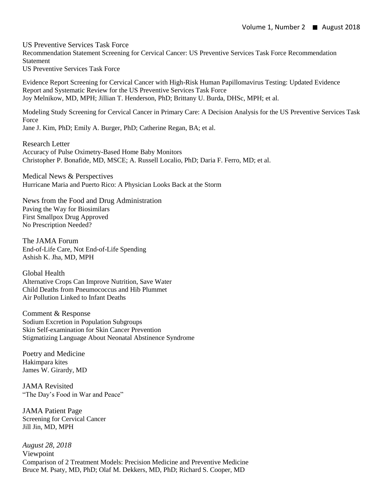US Preventive Services Task Force Recommendation Statement Screening for Cervical Cancer: US Preventive Services Task Force Recommendation Statement US Preventive Services Task Force

Evidence Report Screening for Cervical Cancer with High-Risk Human Papillomavirus Testing: Updated Evidence Report and Systematic Review for the US Preventive Services Task Force Joy Melnikow, MD, MPH; Jillian T. Henderson, PhD; Brittany U. Burda, DHSc, MPH; et al.

Modeling Study Screening for Cervical Cancer in Primary Care: A Decision Analysis for the US Preventive Services Task Force Jane J. Kim, PhD; Emily A. Burger, PhD; Catherine Regan, BA; et al.

Research Letter Accuracy of Pulse Oximetry-Based Home Baby Monitors Christopher P. Bonafide, MD, MSCE; A. Russell Localio, PhD; Daria F. Ferro, MD; et al.

Medical News & Perspectives Hurricane Maria and Puerto Rico: A Physician Looks Back at the Storm

News from the Food and Drug Administration Paving the Way for Biosimilars First Smallpox Drug Approved No Prescription Needed?

The JAMA Forum End-of-Life Care, Not End-of-Life Spending Ashish K. Jha, MD, MPH

Global Health Alternative Crops Can Improve Nutrition, Save Water Child Deaths from Pneumococcus and Hib Plummet Air Pollution Linked to Infant Deaths

Comment & Response Sodium Excretion in Population Subgroups Skin Self-examination for Skin Cancer Prevention Stigmatizing Language About Neonatal Abstinence Syndrome

Poetry and Medicine Hakimpara kites James W. Girardy, MD

JAMA Revisited "The Day's Food in War and Peace"

JAMA Patient Page Screening for Cervical Cancer Jill Jin, MD, MPH

*August 28, 2018* Viewpoint Comparison of 2 Treatment Models: Precision Medicine and Preventive Medicine Bruce M. Psaty, MD, PhD; Olaf M. Dekkers, MD, PhD; Richard S. Cooper, MD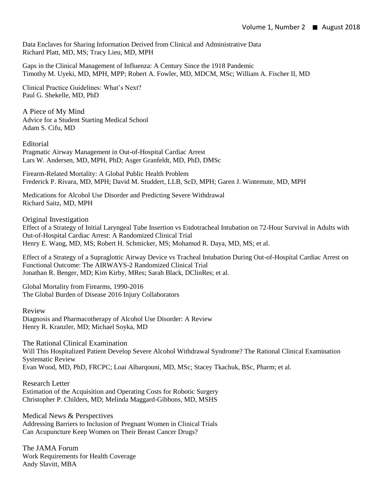Data Enclaves for Sharing Information Derived from Clinical and Administrative Data Richard Platt, MD, MS; Tracy Lieu, MD, MPH

Gaps in the Clinical Management of Influenza: A Century Since the 1918 Pandemic Timothy M. Uyeki, MD, MPH, MPP; Robert A. Fowler, MD, MDCM, MSc; William A. Fischer II, MD

Clinical Practice Guidelines: What's Next? Paul G. Shekelle, MD, PhD

A Piece of My Mind Advice for a Student Starting Medical School Adam S. Cifu, MD

**Editorial** Pragmatic Airway Management in Out-of-Hospital Cardiac Arrest Lars W. Andersen, MD, MPH, PhD; Asger Granfeldt, MD, PhD, DMSc

Firearm-Related Mortality: A Global Public Health Problem Frederick P. Rivara, MD, MPH; David M. Studdert, LLB, ScD, MPH; Garen J. Wintemute, MD, MPH

Medications for Alcohol Use Disorder and Predicting Severe Withdrawal Richard Saitz, MD, MPH

Original Investigation

Effect of a Strategy of Initial Laryngeal Tube Insertion vs Endotracheal Intubation on 72-Hour Survival in Adults with Out-of-Hospital Cardiac Arrest: A Randomized Clinical Trial Henry E. Wang, MD, MS; Robert H. Schmicker, MS; Mohamud R. Daya, MD, MS; et al.

Effect of a Strategy of a Supraglottic Airway Device vs Tracheal Intubation During Out-of-Hospital Cardiac Arrest on Functional Outcome: The AIRWAYS-2 Randomized Clinical Trial Jonathan R. Benger, MD; Kim Kirby, MRes; Sarah Black, DClinRes; et al.

Global Mortality from Firearms, 1990-2016 The Global Burden of Disease 2016 Injury Collaborators

Review Diagnosis and Pharmacotherapy of Alcohol Use Disorder: A Review Henry R. Kranzler, MD; Michael Soyka, MD

The Rational Clinical Examination

Will This Hospitalized Patient Develop Severe Alcohol Withdrawal Syndrome? The Rational Clinical Examination Systematic Review

Evan Wood, MD, PhD, FRCPC; Loai Albarqouni, MD, MSc; Stacey Tkachuk, BSc, Pharm; et al.

Research Letter Estimation of the Acquisition and Operating Costs for Robotic Surgery Christopher P. Childers, MD; Melinda Maggard-Gibbons, MD, MSHS

Medical News & Perspectives Addressing Barriers to Inclusion of Pregnant Women in Clinical Trials Can Acupuncture Keep Women on Their Breast Cancer Drugs?

The JAMA Forum Work Requirements for Health Coverage Andy Slavitt, MBA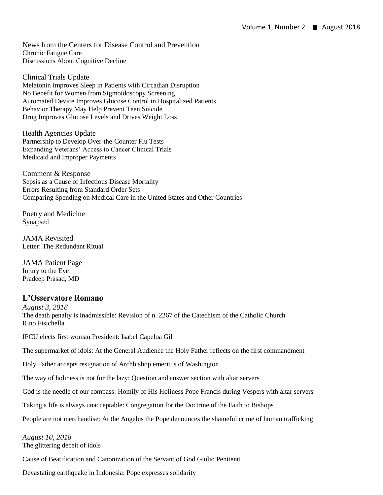News from the Centers for Disease Control and Prevention Chronic Fatigue Care Discussions About Cognitive Decline

Clinical Trials Update Melatonin Improves Sleep in Patients with Circadian Disruption No Benefit for Women from Sigmoidoscopy Screening Automated Device Improves Glucose Control in Hospitalized Patients Behavior Therapy May Help Prevent Teen Suicide Drug Improves Glucose Levels and Drives Weight Loss

Health Agencies Update Partnership to Develop Over-the-Counter Flu Tests Expanding Veterans' Access to Cancer Clinical Trials Medicaid and Improper Payments

Comment & Response Sepsis as a Cause of Infectious Disease Mortality Errors Resulting from Standard Order Sets Comparing Spending on Medical Care in the United States and Other Countries

Poetry and Medicine Synapsed

JAMA Revisited Letter: The Redundant Ritual

JAMA Patient Page Injury to the Eye Pradeep Prasad, MD

# **L'Osservatore Romano**

*August 3, 2018* The death penalty is inadmissible: Revision of n. 2267 of the Catechism of the Catholic Church Rino Fisichella

IFCU elects first woman President: Isabel Capeloa Gil

The supermarket of idols: At the General Audience the Holy Father reflects on the first commandment

Holy Father accepts resignation of Archbishop emeritus of Washington

The way of holiness is not for the lazy: Question and answer section with altar servers

God is the needle of our compass: Homily of His Holiness Pope Francis during Vespers with altar servers

Taking a life is always unacceptable: Congregation for the Doctrine of the Faith to Bishops

People are not merchandise: At the Angelus the Pope denounces the shameful crime of human trafficking

*August 10, 2018* The glittering deceit of idols

Cause of Beatification and Canonization of the Servant of God Giulio Penitenti

Devastating earthquake in Indonesia: Pope expresses solidarity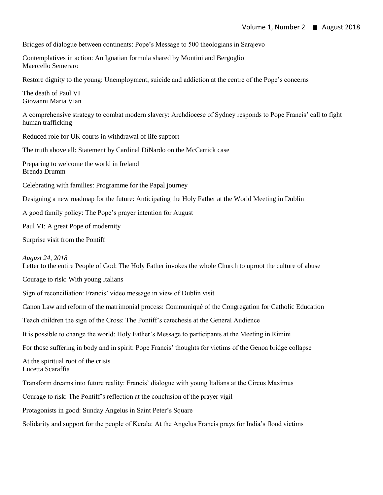Bridges of dialogue between continents: Pope's Message to 500 theologians in Sarajevo

Contemplatives in action: An Ignatian formula shared by Montini and Bergoglio Maercello Semeraro

Restore dignity to the young: Unemployment, suicide and addiction at the centre of the Pope's concerns

The death of Paul VI Giovanni Maria Vian

A comprehensive strategy to combat modern slavery: Archdiocese of Sydney responds to Pope Francis' call to fight human trafficking

Reduced role for UK courts in withdrawal of life support

The truth above all: Statement by Cardinal DiNardo on the McCarrick case

Preparing to welcome the world in Ireland Brenda Drumm

Celebrating with families: Programme for the Papal journey

Designing a new roadmap for the future: Anticipating the Holy Father at the World Meeting in Dublin

A good family policy: The Pope's prayer intention for August

Paul VI: A great Pope of modernity

Surprise visit from the Pontiff

#### *August 24, 2018*

Letter to the entire People of God: The Holy Father invokes the whole Church to uproot the culture of abuse

Courage to risk: With young Italians

Sign of reconciliation: Francis' video message in view of Dublin visit

Canon Law and reform of the matrimonial process: Communiqué of the Congregation for Catholic Education

Teach children the sign of the Cross: The Pontiff's catechesis at the General Audience

It is possible to change the world: Holy Father's Message to participants at the Meeting in Rimini

For those suffering in body and in spirit: Pope Francis' thoughts for victims of the Genoa bridge collapse

At the spiritual root of the crisis Lucetta Scaraffia

Transform dreams into future reality: Francis' dialogue with young Italians at the Circus Maximus

Courage to risk: The Pontiff's reflection at the conclusion of the prayer vigil

Protagonists in good: Sunday Angelus in Saint Peter's Square

Solidarity and support for the people of Kerala: At the Angelus Francis prays for India's flood victims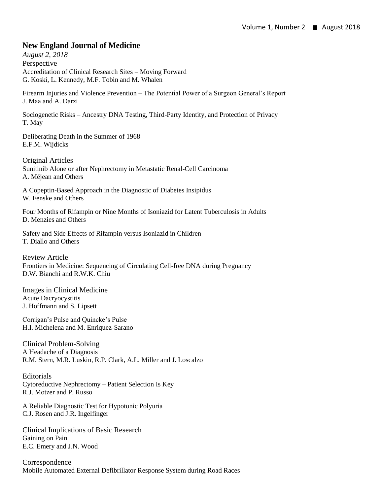# **New England Journal of Medicine**

*August 2, 2018* Perspective Accreditation of Clinical Research Sites – Moving Forward G. Koski, L. Kennedy, M.F. Tobin and M. Whalen

Firearm Injuries and Violence Prevention – The Potential Power of a Surgeon General's Report J. Maa and A. Darzi

Sociogenetic Risks – Ancestry DNA Testing, Third-Party Identity, and Protection of Privacy T. May

Deliberating Death in the Summer of 1968 E.F.M. Wijdicks

Original Articles Sunitinib Alone or after Nephrectomy in Metastatic Renal-Cell Carcinoma A. Méjean and Others

A Copeptin-Based Approach in the Diagnostic of Diabetes Insipidus W. Fenske and Others

Four Months of Rifampin or Nine Months of Isoniazid for Latent Tuberculosis in Adults D. Menzies and Others

Safety and Side Effects of Rifampin versus Isoniazid in Children T. Diallo and Others

Review Article Frontiers in Medicine: Sequencing of Circulating Cell-free DNA during Pregnancy D.W. Bianchi and R.W.K. Chiu

Images in Clinical Medicine Acute Dacryocystitis J. Hoffmann and S. Lipsett

Corrigan's Pulse and Quincke's Pulse H.I. Michelena and M. Enriquez-Sarano

Clinical Problem-Solving A Headache of a Diagnosis R.M. Stern, M.R. Luskin, R.P. Clark, A.L. Miller and J. Loscalzo

Editorials Cytoreductive Nephrectomy – Patient Selection Is Key R.J. Motzer and P. Russo

A Reliable Diagnostic Test for Hypotonic Polyuria C.J. Rosen and J.R. Ingelfinger

Clinical Implications of Basic Research Gaining on Pain E.C. Emery and J.N. Wood

Correspondence Mobile Automated External Defibrillator Response System during Road Races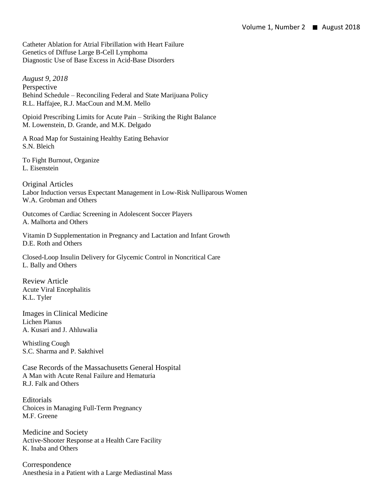Catheter Ablation for Atrial Fibrillation with Heart Failure Genetics of Diffuse Large B-Cell Lymphoma Diagnostic Use of Base Excess in Acid-Base Disorders

*August 9, 2018* Perspective Behind Schedule – Reconciling Federal and State Marijuana Policy R.L. Haffajee, R.J. MacCoun and M.M. Mello

Opioid Prescribing Limits for Acute Pain – Striking the Right Balance M. Lowenstein, D. Grande, and M.K. Delgado

A Road Map for Sustaining Healthy Eating Behavior S.N. Bleich

To Fight Burnout, Organize L. Eisenstein

Original Articles Labor Induction versus Expectant Management in Low-Risk Nulliparous Women W.A. Grobman and Others

Outcomes of Cardiac Screening in Adolescent Soccer Players A. Malhorta and Others

Vitamin D Supplementation in Pregnancy and Lactation and Infant Growth D.E. Roth and Others

Closed-Loop Insulin Delivery for Glycemic Control in Noncritical Care L. Bally and Others

Review Article Acute Viral Encephalitis K.L. Tyler

Images in Clinical Medicine Lichen Planus A. Kusari and J. Ahluwalia

Whistling Cough S.C. Sharma and P. Sakthivel

Case Records of the Massachusetts General Hospital A Man with Acute Renal Failure and Hematuria R.J. Falk and Others

Editorials Choices in Managing Full-Term Pregnancy M.F. Greene

Medicine and Society Active-Shooter Response at a Health Care Facility K. Inaba and Others

Correspondence Anesthesia in a Patient with a Large Mediastinal Mass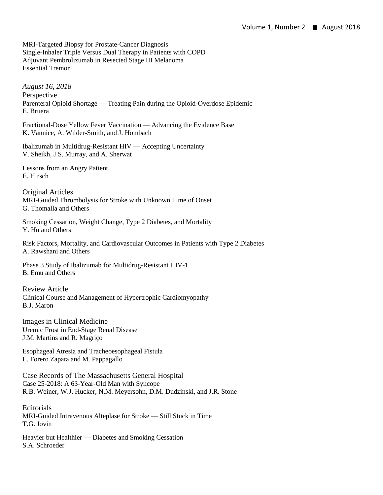MRI-Targeted Biopsy for Prostate-Cancer Diagnosis Single-Inhaler Triple Versus Dual Therapy in Patients with COPD Adjuvant Pembrolizumab in Resected Stage III Melanoma Essential Tremor

*August 16, 2018* Perspective Parenteral Opioid Shortage — Treating Pain during the Opioid-Overdose Epidemic E. Bruera

Fractional-Dose Yellow Fever Vaccination — Advancing the Evidence Base K. Vannice, A. Wilder-Smith, and J. Hombach

Ibalizumab in Multidrug-Resistant HIV — Accepting Uncertainty V. Sheikh, J.S. Murray, and A. Sherwat

Lessons from an Angry Patient E. Hirsch

Original Articles MRI-Guided Thrombolysis for Stroke with Unknown Time of Onset G. Thomalla and Others

Smoking Cessation, Weight Change, Type 2 Diabetes, and Mortality Y. Hu and Others

Risk Factors, Mortality, and Cardiovascular Outcomes in Patients with Type 2 Diabetes A. Rawshani and Others

Phase 3 Study of Ibalizumab for Multidrug-Resistant HIV-1 B. Emu and Others

Review Article Clinical Course and Management of Hypertrophic Cardiomyopathy B.J. Maron

Images in Clinical Medicine Uremic Frost in End-Stage Renal Disease J.M. Martins and R. Magriço

Esophageal Atresia and Tracheoesophageal Fistula L. Forero Zapata and M. Pappagallo

Case Records of The Massachusetts General Hospital Case 25-2018: A 63-Year-Old Man with Syncope R.B. Weiner, W.J. Hucker, N.M. Meyersohn, D.M. Dudzinski, and J.R. Stone

**Editorials** MRI-Guided Intravenous Alteplase for Stroke — Still Stuck in Time T.G. Jovin

Heavier but Healthier — Diabetes and Smoking Cessation S.A. Schroeder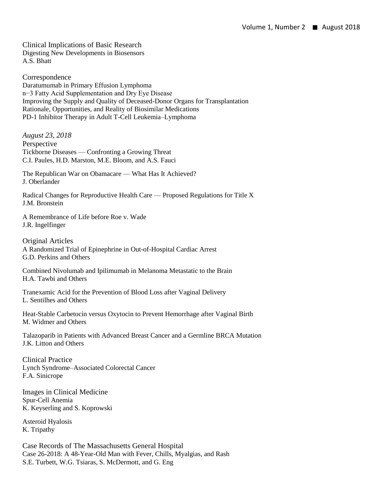Clinical Implications of Basic Research Digesting New Developments in Biosensors A.S. Bhatt

Correspondence Daratumumab in Primary Effusion Lymphoma n−3 Fatty Acid Supplementation and Dry Eye Disease Improving the Supply and Quality of Deceased-Donor Organs for Transplantation Rationale, Opportunities, and Reality of Biosimilar Medications PD-1 Inhibitor Therapy in Adult T-Cell Leukemia–Lymphoma

*August 23, 2018* Perspective Tickborne Diseases — Confronting a Growing Threat C.I. Paules, H.D. Marston, M.E. Bloom, and A.S. Fauci

The Republican War on Obamacare — What Has It Achieved? J. Oberlander

Radical Changes for Reproductive Health Care — Proposed Regulations for Title X J.M. Bronstein

A Remembrance of Life before Roe v. Wade J.R. Ingelfinger

Original Articles A Randomized Trial of Epinephrine in Out-of-Hospital Cardiac Arrest G.D. Perkins and Others

Combined Nivolumab and Ipilimumab in Melanoma Metastatic to the Brain H.A. Tawbi and Others

Tranexamic Acid for the Prevention of Blood Loss after Vaginal Delivery L. Sentilhes and Others

Heat-Stable Carbetocin versus Oxytocin to Prevent Hemorrhage after Vaginal Birth M. Widmer and Others

Talazoparib in Patients with Advanced Breast Cancer and a Germline BRCA Mutation J.K. Litton and Others

Clinical Practice Lynch Syndrome–Associated Colorectal Cancer F.A. Sinicrope

Images in Clinical Medicine Spur-Cell Anemia K. Keyserling and S. Koprowski

Asteroid Hyalosis K. Tripathy

Case Records of The Massachusetts General Hospital Case 26-2018: A 48-Year-Old Man with Fever, Chills, Myalgias, and Rash S.E. Turbett, W.G. Tsiaras, S. McDermott, and G. Eng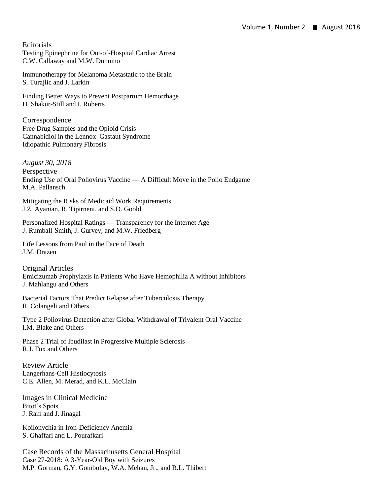**Editorials** Testing Epinephrine for Out-of-Hospital Cardiac Arrest C.W. Callaway and M.W. Donnino

Immunotherapy for Melanoma Metastatic to the Brain S. Turajlic and J. Larkin

Finding Better Ways to Prevent Postpartum Hemorrhage H. Shakur-Still and I. Roberts

Correspondence Free Drug Samples and the Opioid Crisis Cannabidiol in the Lennox–Gastaut Syndrome Idiopathic Pulmonary Fibrosis

*August 30, 2018* Perspective Ending Use of Oral Poliovirus Vaccine — A Difficult Move in the Polio Endgame M.A. Pallansch

Mitigating the Risks of Medicaid Work Requirements J.Z. Ayanian, R. Tipirneni, and S.D. Goold

Personalized Hospital Ratings — Transparency for the Internet Age J. Rumball-Smith, J. Gurvey, and M.W. Friedberg

Life Lessons from Paul in the Face of Death J.M. Drazen

Original Articles Emicizumab Prophylaxis in Patients Who Have Hemophilia A without Inhibitors J. Mahlangu and Others

Bacterial Factors That Predict Relapse after Tuberculosis Therapy R. Colangeli and Others

Type 2 Poliovirus Detection after Global Withdrawal of Trivalent Oral Vaccine I.M. Blake and Others

Phase 2 Trial of Ibudilast in Progressive Multiple Sclerosis R.J. Fox and Others

Review Article Langerhans-Cell Histiocytosis C.E. Allen, M. Merad, and K.L. McClain

Images in Clinical Medicine Bitot's Spots J. Ram and J. Jinagal

Koilonychia in Iron-Deficiency Anemia S. Ghaffari and L. Pourafkari

Case Records of the Massachusetts General Hospital Case 27-2018: A 3-Year-Old Boy with Seizures M.P. Gorman, G.Y. Gombolay, W.A. Mehan, Jr., and R.L. Thibert